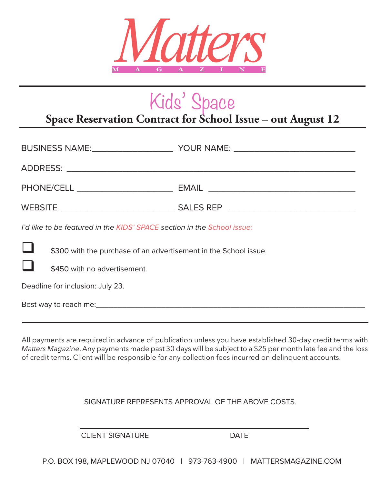

### Kids' Space

#### **Space Reservation Contract for School Issue – out August 12**

| I'd like to be featured in the KIDS' SPACE section in the School issue: |  |
|-------------------------------------------------------------------------|--|
| \$300 with the purchase of an advertisement in the School issue.        |  |
| \$450 with no advertisement.                                            |  |
| Deadline for inclusion: July 23.                                        |  |
|                                                                         |  |
|                                                                         |  |

All payments are required in advance of publication unless you have established 30-day credit terms with *Matters Magazine*. Any payments made past 30 days will be subject to a \$25 per month late fee and the loss of credit terms. Client will be responsible for any collection fees incurred on delinquent accounts.

SIGNATURE REPRESENTS APPROVAL OF THE ABOVE COSTS.

CLIENT SIGNATURE DATE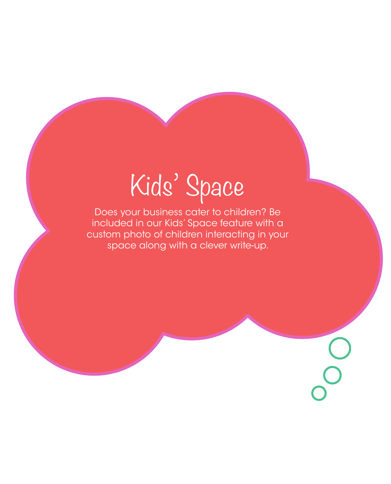# Kids' Space

Does your business cater to children? Be included in our Kids' Space feature with a custom photo of children interacting in your space along with a clever write-up.

OO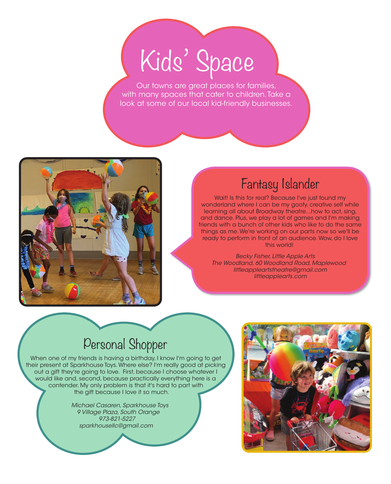## Kids' Space

Our towns are great places for families, with many spaces that cater to children. Take a look at some of our local kid-friendly businesses.



#### Fantasy Islander

Wait! Is this for real? Because I've just found my wonderland where I can be my goofy, creative self while learning all about Broadway theatre...how to act, sing, and dance. Plus, we play a lot of games and I'm making friends with a bunch of other kids who like to do the same things as me. We're working on our parts now so we'll be ready to perform in front of an audience. Wow, do I love this world!

*Becky Fisher, Little Apple Arts The Woodland, 60 Woodland Road, Maplewood littleappleartstheatre@gmail.com littleapplearts.com*

#### Personal Shopper

When one of my friends is having a birthday, I know I'm going to get their present at Sparkhouse Toys. Where else? I'm really good at picking out a gift they're going to love. First, because I choose whatever I would like and, second, because practically everything here is a contender. My only problem is that it's hard to part with the gift because I love it so much.

> *Michael Casaren, Sparkhouse Toys 9 Village Plaza, South Orange 973-821-5227 sparkhousellc@gmail.com*